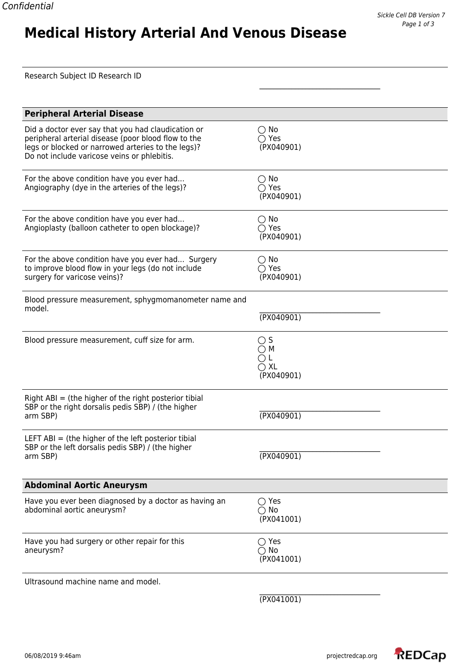**Medical History Arterial And Venous Disease**

| <b>Peripheral Arterial Disease</b>                                                                                                                                                                             |                                                               |
|----------------------------------------------------------------------------------------------------------------------------------------------------------------------------------------------------------------|---------------------------------------------------------------|
| Did a doctor ever say that you had claudication or<br>peripheral arterial disease (poor blood flow to the<br>legs or blocked or narrowed arteries to the legs)?<br>Do not include varicose veins or phlebitis. | $\bigcirc$ No<br>$\bigcirc$ Yes<br>(PX040901)                 |
| For the above condition have you ever had<br>Angiography (dye in the arteries of the legs)?                                                                                                                    | $\bigcirc$ No<br>$\bigcirc$ Yes<br>(PX040901)                 |
| For the above condition have you ever had<br>Angioplasty (balloon catheter to open blockage)?                                                                                                                  | $\bigcirc$ No<br>$\bigcirc$ Yes<br>(PX040901)                 |
| For the above condition have you ever had Surgery<br>to improve blood flow in your legs (do not include<br>surgery for varicose veins)?                                                                        | $\bigcirc$ No<br>$\bigcirc$ Yes<br>(PX040901)                 |
| Blood pressure measurement, sphygmomanometer name and<br>model.                                                                                                                                                | (TX040901)                                                    |
| Blood pressure measurement, cuff size for arm.                                                                                                                                                                 | $\bigcirc$ S<br>$\cap$ M<br>ΟL<br>$\bigcirc$ XL<br>(PX040901) |
| Right $ABI$ = (the higher of the right posterior tibial<br>SBP or the right dorsalis pedis SBP) / (the higher<br>arm SBP)                                                                                      | (TX040901)                                                    |
| LEFT ABI $=$ (the higher of the left posterior tibial<br>SBP or the left dorsalis pedis SBP) / (the higher<br>arm SBP)                                                                                         | (YX040901)                                                    |
| <b>Abdominal Aortic Aneurysm</b>                                                                                                                                                                               |                                                               |
| Have you ever been diagnosed by a doctor as having an<br>abdominal aortic aneurysm?                                                                                                                            | $\bigcirc$ Yes<br>$\bigcirc$ No<br>(PX041001)                 |
| Have you had surgery or other repair for this<br>aneurysm?                                                                                                                                                     | $\bigcirc$ Yes<br>$\bigcirc$ No<br>(PX041001)                 |
| Ultrasound machine name and model.                                                                                                                                                                             |                                                               |

\_\_\_\_\_\_\_\_\_\_\_\_\_\_\_\_\_\_\_\_\_\_\_\_\_\_\_\_\_\_\_\_\_\_

(PX041001)

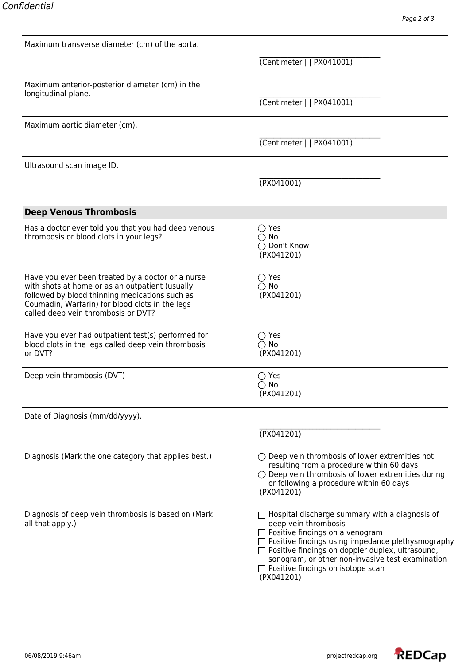| Maximum transverse diameter (cm) of the aorta.                                                                                                                                                                                                   |                                                                                                                                                                                                                                                                                                                           |
|--------------------------------------------------------------------------------------------------------------------------------------------------------------------------------------------------------------------------------------------------|---------------------------------------------------------------------------------------------------------------------------------------------------------------------------------------------------------------------------------------------------------------------------------------------------------------------------|
|                                                                                                                                                                                                                                                  | (Centimeter     PX041001)                                                                                                                                                                                                                                                                                                 |
| Maximum anterior-posterior diameter (cm) in the                                                                                                                                                                                                  |                                                                                                                                                                                                                                                                                                                           |
| longitudinal plane.                                                                                                                                                                                                                              | (Centimeter     PX041001)                                                                                                                                                                                                                                                                                                 |
| Maximum aortic diameter (cm).                                                                                                                                                                                                                    |                                                                                                                                                                                                                                                                                                                           |
|                                                                                                                                                                                                                                                  | (Centimeter     PX041001)                                                                                                                                                                                                                                                                                                 |
| Ultrasound scan image ID.                                                                                                                                                                                                                        |                                                                                                                                                                                                                                                                                                                           |
|                                                                                                                                                                                                                                                  | (PX041001)                                                                                                                                                                                                                                                                                                                |
| <b>Deep Venous Thrombosis</b>                                                                                                                                                                                                                    |                                                                                                                                                                                                                                                                                                                           |
| Has a doctor ever told you that you had deep venous<br>thrombosis or blood clots in your legs?                                                                                                                                                   | $\bigcirc$ Yes<br>$\bigcirc$ No<br>◯ Don't Know<br>(PX041201)                                                                                                                                                                                                                                                             |
| Have you ever been treated by a doctor or a nurse<br>with shots at home or as an outpatient (usually<br>followed by blood thinning medications such as<br>Coumadin, Warfarin) for blood clots in the legs<br>called deep vein thrombosis or DVT? | $\bigcirc$ Yes<br>$\bigcirc$ No<br>(PX041201)                                                                                                                                                                                                                                                                             |
| Have you ever had outpatient test(s) performed for<br>blood clots in the legs called deep vein thrombosis<br>or DVT?                                                                                                                             | $\bigcirc$ Yes<br>$\bigcirc$ No<br>(PX041201)                                                                                                                                                                                                                                                                             |
| Deep vein thrombosis (DVT)                                                                                                                                                                                                                       | $\supset$ Yes<br>$\bigcirc$ No<br>(PX041201)                                                                                                                                                                                                                                                                              |
| Date of Diagnosis (mm/dd/yyyy).                                                                                                                                                                                                                  |                                                                                                                                                                                                                                                                                                                           |
|                                                                                                                                                                                                                                                  | (PX041201)                                                                                                                                                                                                                                                                                                                |
| Diagnosis (Mark the one category that applies best.)                                                                                                                                                                                             | $\bigcirc$ Deep vein thrombosis of lower extremities not<br>resulting from a procedure within 60 days<br>$\bigcirc$ Deep vein thrombosis of lower extremities during<br>or following a procedure within 60 days<br>(PX041201)                                                                                             |
| Diagnosis of deep vein thrombosis is based on (Mark<br>all that apply.)                                                                                                                                                                          | Hospital discharge summary with a diagnosis of<br>deep vein thrombosis<br>Positive findings on a venogram<br>Positive findings using impedance plethysmography<br>Positive findings on doppler duplex, ultrasound,<br>sonogram, or other non-invasive test examination<br>Positive findings on isotope scan<br>(PX041201) |